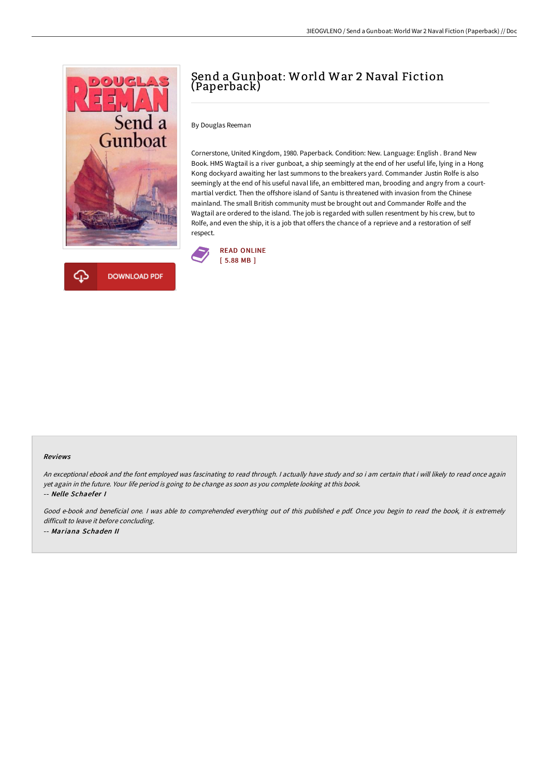



# Send a Gunboat: World War 2 Naval Fiction (Paperback)

By Douglas Reeman

Cornerstone, United Kingdom, 1980. Paperback. Condition: New. Language: English . Brand New Book. HMS Wagtail is a river gunboat, a ship seemingly at the end of her useful life, lying in a Hong Kong dockyard awaiting her last summons to the breakers yard. Commander Justin Rolfe is also seemingly at the end of his useful naval life, an embittered man, brooding and angry from a courtmartial verdict. Then the offshore island of Santu is threatened with invasion from the Chinese mainland. The small British community must be brought out and Commander Rolfe and the Wagtail are ordered to the island. The job is regarded with sullen resentment by his crew, but to Rolfe, and even the ship, it is a job that offers the chance of a reprieve and a restoration of self respect.



### Reviews

An exceptional ebook and the font employed was fascinating to read through. <sup>I</sup> actually have study and so i am certain that i will likely to read once again yet again in the future. Your life period is going to be change as soon as you complete looking at this book. -- Nelle Schaefer I

Good e-book and beneficial one. <sup>I</sup> was able to comprehended everything out of this published <sup>e</sup> pdf. Once you begin to read the book, it is extremely difficult to leave it before concluding. -- Mariana Schaden II